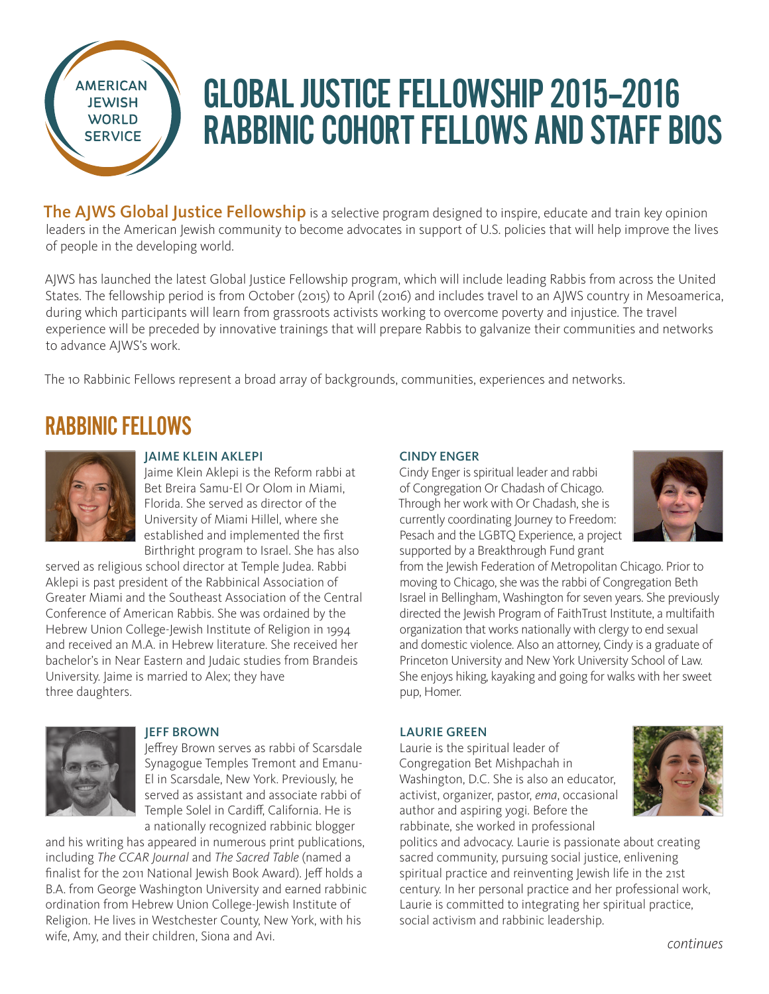

# GLOBAL JUSTICE FELLOWSHIP 2015–2016 RABBINIC COHORT FELLOWS AND STAFF BIOS

The AJWS Global Justice Fellowship is a selective program designed to inspire, educate and train key opinion leaders in the American Jewish community to become advocates in support of U.S. policies that will help improve the lives of people in the developing world.

AJWS has launched the latest Global Justice Fellowship program, which will include leading Rabbis from across the United States. The fellowship period is from October (2015) to April (2016) and includes travel to an AJWS country in Mesoamerica, during which participants will learn from grassroots activists working to overcome poverty and injustice. The travel experience will be preceded by innovative trainings that will prepare Rabbis to galvanize their communities and networks to advance AJWS's work.

The 10 Rabbinic Fellows represent a broad array of backgrounds, communities, experiences and networks.

# RABBINIC FELLOWS



# JAIME KLEIN AKLEPI

Jaime Klein Aklepi is the Reform rabbi at Bet Breira Samu-El Or Olom in Miami, Florida. She served as director of the University of Miami Hillel, where she established and implemented the first Birthright program to Israel. She has also

served as religious school director at Temple Judea. Rabbi Aklepi is past president of the Rabbinical Association of Greater Miami and the Southeast Association of the Central Conference of American Rabbis. She was ordained by the Hebrew Union College-Jewish Institute of Religion in 1994 and received an M.A. in Hebrew literature. She received her bachelor's in Near Eastern and Judaic studies from Brandeis University. Jaime is married to Alex; they have three daughters.



## JEFF BROWN

Jeffrey Brown serves as rabbi of Scarsdale Synagogue Temples Tremont and Emanu-El in Scarsdale, New York. Previously, he served as assistant and associate rabbi of Temple Solel in Cardiff, California. He is a nationally recognized rabbinic blogger

and his writing has appeared in numerous print publications, including *The CCAR Journal* and *The Sacred Table* (named a finalist for the 2011 National Jewish Book Award). Jeff holds a B.A. from George Washington University and earned rabbinic ordination from Hebrew Union College-Jewish Institute of Religion. He lives in Westchester County, New York, with his wife, Amy, and their children, Siona and Avi.

## CINDY ENGER

Cindy Enger is spiritual leader and rabbi of Congregation Or Chadash of Chicago. Through her work with Or Chadash, she is currently coordinating Journey to Freedom: Pesach and the LGBTQ Experience, a project supported by a Breakthrough Fund grant



from the Jewish Federation of Metropolitan Chicago. Prior to moving to Chicago, she was the rabbi of Congregation Beth Israel in Bellingham, Washington for seven years. She previously directed the Jewish Program of FaithTrust Institute, a multifaith organization that works nationally with clergy to end sexual and domestic violence. Also an attorney, Cindy is a graduate of Princeton University and New York University School of Law. She enjoys hiking, kayaking and going for walks with her sweet pup, Homer.

# LAURIE GREEN

Laurie is the spiritual leader of Congregation Bet Mishpachah in Washington, D.C. She is also an educator, activist, organizer, pastor, *ema*, occasional author and aspiring yogi. Before the rabbinate, she worked in professional



politics and advocacy. Laurie is passionate about creating sacred community, pursuing social justice, enlivening spiritual practice and reinventing Jewish life in the 21st century. In her personal practice and her professional work, Laurie is committed to integrating her spiritual practice, social activism and rabbinic leadership.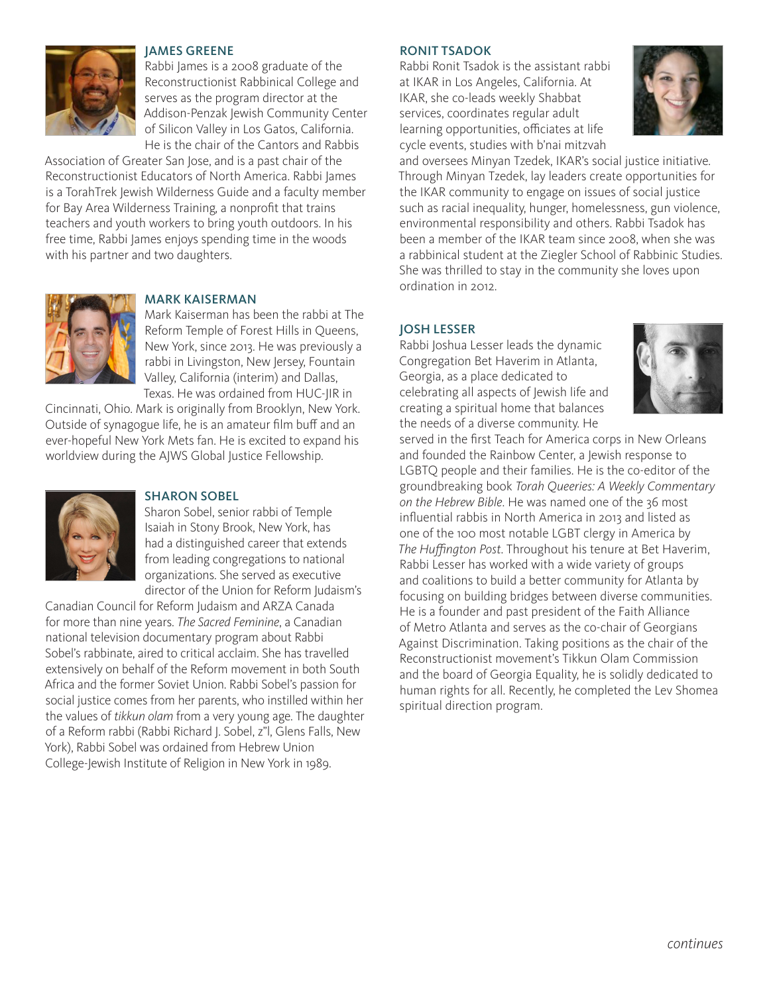

### JAMES GREENE

Rabbi James is a 2008 graduate of the Reconstructionist Rabbinical College and serves as the program director at the Addison-Penzak Jewish Community Center of Silicon Valley in Los Gatos, California. He is the chair of the Cantors and Rabbis

Association of Greater San Jose, and is a past chair of the Reconstructionist Educators of North America. Rabbi James is a TorahTrek Jewish Wilderness Guide and a faculty member for Bay Area Wilderness Training, a nonprofit that trains teachers and youth workers to bring youth outdoors. In his free time, Rabbi James enjoys spending time in the woods with his partner and two daughters.



# MARK KAISERMAN

Mark Kaiserman has been the rabbi at The Reform Temple of Forest Hills in Queens, New York, since 2013. He was previously a rabbi in Livingston, New Jersey, Fountain Valley, California (interim) and Dallas, Texas. He was ordained from HUC-JIR in

Cincinnati, Ohio. Mark is originally from Brooklyn, New York. Outside of synagogue life, he is an amateur film buff and an ever-hopeful New York Mets fan. He is excited to expand his worldview during the AJWS Global Justice Fellowship.



#### SHARON SOBEL

Sharon Sobel, senior rabbi of Temple Isaiah in Stony Brook, New York, has had a distinguished career that extends from leading congregations to national organizations. She served as executive director of the Union for Reform Judaism's

Canadian Council for Reform Judaism and ARZA Canada for more than nine years. *The Sacred Feminine*, a Canadian national television documentary program about Rabbi Sobel's rabbinate, aired to critical acclaim. She has travelled extensively on behalf of the Reform movement in both South Africa and the former Soviet Union. Rabbi Sobel's passion for social justice comes from her parents, who instilled within her the values of *tikkun olam* from a very young age. The daughter of a Reform rabbi (Rabbi Richard J. Sobel, z"l, Glens Falls, New York), Rabbi Sobel was ordained from Hebrew Union College-Jewish Institute of Religion in New York in 1989.

#### RONIT TSADOK

Rabbi Ronit Tsadok is the assistant rabbi at IKAR in Los Angeles, California. At IKAR, she co-leads weekly Shabbat services, coordinates regular adult learning opportunities, officiates at life cycle events, studies with b'nai mitzvah



and oversees Minyan Tzedek, IKAR's social justice initiative. Through Minyan Tzedek, lay leaders create opportunities for the IKAR community to engage on issues of social justice such as racial inequality, hunger, homelessness, gun violence, environmental responsibility and others. Rabbi Tsadok has been a member of the IKAR team since 2008, when she was a rabbinical student at the Ziegler School of Rabbinic Studies. She was thrilled to stay in the community she loves upon ordination in 2012.

#### JOSH LESSER

Rabbi Joshua Lesser leads the dynamic Congregation Bet Haverim in Atlanta, Georgia, as a place dedicated to celebrating all aspects of Jewish life and creating a spiritual home that balances the needs of a diverse community. He



served in the first Teach for America corps in New Orleans and founded the Rainbow Center, a Jewish response to LGBTQ people and their families. He is the co-editor of the groundbreaking book *Torah Queeries: A Weekly Commentary on the Hebrew Bible*. He was named one of the 36 most influential rabbis in North America in 2013 and listed as one of the 100 most notable LGBT clergy in America by *The Huffington Post*. Throughout his tenure at Bet Haverim, Rabbi Lesser has worked with a wide variety of groups and coalitions to build a better community for Atlanta by focusing on building bridges between diverse communities. He is a founder and past president of the Faith Alliance of Metro Atlanta and serves as the co-chair of Georgians Against Discrimination. Taking positions as the chair of the Reconstructionist movement's Tikkun Olam Commission and the board of Georgia Equality, he is solidly dedicated to human rights for all. Recently, he completed the Lev Shomea spiritual direction program.